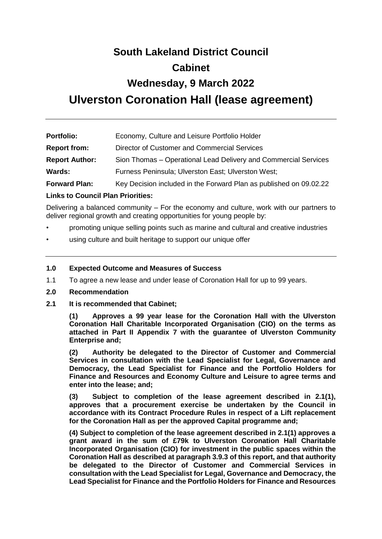# **South Lakeland District Council Cabinet Wednesday, 9 March 2022 Ulverston Coronation Hall (lease agreement)**

| <b>Portfolio:</b>     | Economy, Culture and Leisure Portfolio Holder                      |
|-----------------------|--------------------------------------------------------------------|
| <b>Report from:</b>   | Director of Customer and Commercial Services                       |
| <b>Report Author:</b> | Sion Thomas – Operational Lead Delivery and Commercial Services    |
| Wards:                | Furness Peninsula; Ulverston East; Ulverston West;                 |
| <b>Forward Plan:</b>  | Key Decision included in the Forward Plan as published on 09.02.22 |

#### **Links to Council Plan Priorities:**

Delivering a balanced community – For the economy and culture, work with our partners to deliver regional growth and creating opportunities for young people by:

- promoting unique selling points such as marine and cultural and creative industries
- using culture and built heritage to support our unique offer

#### **1.0 Expected Outcome and Measures of Success**

- 1.1 To agree a new lease and under lease of Coronation Hall for up to 99 years.
- **2.0 Recommendation**
- **2.1 It is recommended that Cabinet;**

**(1) Approves a 99 year lease for the Coronation Hall with the Ulverston Coronation Hall Charitable Incorporated Organisation (CIO) on the terms as attached in Part II Appendix 7 with the guarantee of Ulverston Community Enterprise and;**

**(2) Authority be delegated to the Director of Customer and Commercial Services in consultation with the Lead Specialist for Legal, Governance and Democracy, the Lead Specialist for Finance and the Portfolio Holders for Finance and Resources and Economy Culture and Leisure to agree terms and enter into the lease; and;** 

**(3) Subject to completion of the lease agreement described in 2.1(1), approves that a procurement exercise be undertaken by the Council in accordance with its Contract Procedure Rules in respect of a Lift replacement for the Coronation Hall as per the approved Capital programme and;**

**(4) Subject to completion of the lease agreement described in 2.1(1) approves a grant award in the sum of £79k to Ulverston Coronation Hall Charitable Incorporated Organisation (CIO) for investment in the public spaces within the Coronation Hall as described at paragraph 3.9.3 of this report, and that authority be delegated to the Director of Customer and Commercial Services in consultation with the Lead Specialist for Legal, Governance and Democracy, the Lead Specialist for Finance and the Portfolio Holders for Finance and Resources**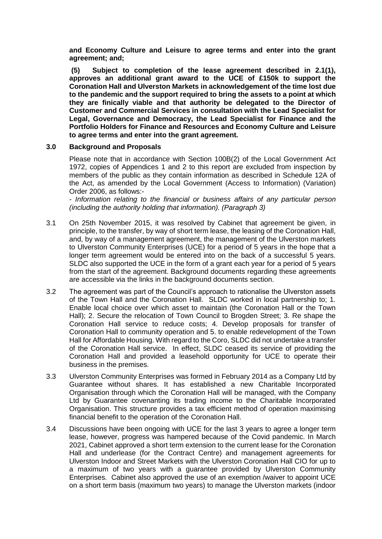**and Economy Culture and Leisure to agree terms and enter into the grant agreement; and;** 

**(5) Subject to completion of the lease agreement described in 2.1(1), approves an additional grant award to the UCE of £150k to support the Coronation Hall and Ulverston Markets in acknowledgement of the time lost due to the pandemic and the support required to bring the assets to a point at which they are finically viable and that authority be delegated to the Director of Customer and Commercial Services in consultation with the Lead Specialist for Legal, Governance and Democracy, the Lead Specialist for Finance and the Portfolio Holders for Finance and Resources and Economy Culture and Leisure to agree terms and enter into the grant agreement.**

#### **3.0 Background and Proposals**

Please note that in accordance with Section 100B(2) of the Local Government Act 1972, copies of Appendices 1 and 2 to this report are excluded from inspection by members of the public as they contain information as described in Schedule 12A of the Act, as amended by the Local Government (Access to Information) (Variation) Order 2006, as follows:-

*- Information relating to the financial or business affairs of any particular person (including the authority holding that information). (Paragraph 3)*

- 3.1 On 25th November 2015, it was resolved by Cabinet that agreement be given, in principle, to the transfer, by way of short term lease, the leasing of the Coronation Hall, and, by way of a management agreement, the management of the Ulverston markets to Ulverston Community Enterprises (UCE) for a period of 5 years in the hope that a longer term agreement would be entered into on the back of a successful 5 years. SLDC also supported the UCE in the form of a grant each year for a period of 5 years from the start of the agreement. Background documents regarding these agreements are accessible via the links in the background documents section.
- 3.2 The agreement was part of the Council's approach to rationalise the Ulverston assets of the Town Hall and the Coronation Hall. SLDC worked in local partnership to; 1. Enable local choice over which asset to maintain (the Coronation Hall or the Town Hall); 2. Secure the relocation of Town Council to Brogden Street; 3. Re shape the Coronation Hall service to reduce costs; 4. Develop proposals for transfer of Coronation Hall to community operation and 5. to enable redevelopment of the Town Hall for Affordable Housing. With regard to the Coro, SLDC did not undertake a transfer of the Coronation Hall service. In effect, SLDC ceased its service of providing the Coronation Hall and provided a leasehold opportunity for UCE to operate their business in the premises.
- 3.3 Ulverston Community Enterprises was formed in February 2014 as a Company Ltd by Guarantee without shares. It has established a new Charitable Incorporated Organisation through which the Coronation Hall will be managed, with the Company Ltd by Guarantee covenanting its trading income to the Charitable Incorporated Organisation. This structure provides a tax efficient method of operation maximising financial benefit to the operation of the Coronation Hall.
- 3.4 Discussions have been ongoing with UCE for the last 3 years to agree a longer term lease, however, progress was hampered because of the Covid pandemic. In March 2021, Cabinet approved a short term extension to the current lease for the Coronation Hall and underlease (for the Contract Centre) and management agreements for Ulverston Indoor and Street Markets with the Ulverston Coronation Hall CIO for up to a maximum of two years with a guarantee provided by Ulverston Community Enterprises. Cabinet also approved the use of an exemption /waiver to appoint UCE on a short term basis (maximum two years) to manage the Ulverston markets (indoor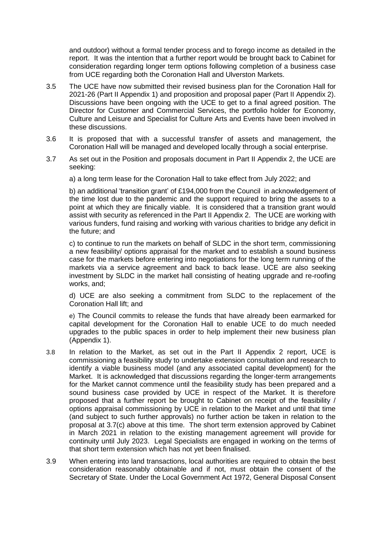and outdoor) without a formal tender process and to forego income as detailed in the report. It was the intention that a further report would be brought back to Cabinet for consideration regarding longer term options following completion of a business case from UCE regarding both the Coronation Hall and Ulverston Markets.

- 3.5 The UCE have now submitted their revised business plan for the Coronation Hall for 2021-26 (Part II Appendix 1) and proposition and proposal paper (Part II Appendix 2). Discussions have been ongoing with the UCE to get to a final agreed position. The Director for Customer and Commercial Services, the portfolio holder for Economy, Culture and Leisure and Specialist for Culture Arts and Events have been involved in these discussions.
- 3.6 It is proposed that with a successful transfer of assets and management, the Coronation Hall will be managed and developed locally through a social enterprise.
- 3.7 As set out in the Position and proposals document in Part II Appendix 2, the UCE are seeking:
	- a) a long term lease for the Coronation Hall to take effect from July 2022; and

b) an additional 'transition grant' of £194,000 from the Council in acknowledgement of the time lost due to the pandemic and the support required to bring the assets to a point at which they are finically viable. It is considered that a transition grant would assist with security as referenced in the Part II Appendix 2. The UCE are working with various funders, fund raising and working with various charities to bridge any deficit in the future; and

c) to continue to run the markets on behalf of SLDC in the short term, commissioning a new feasibility/ options appraisal for the market and to establish a sound business case for the markets before entering into negotiations for the long term running of the markets via a service agreement and back to back lease. UCE are also seeking investment by SLDC in the market hall consisting of heating upgrade and re-roofing works, and;

d) UCE are also seeking a commitment from SLDC to the replacement of the Coronation Hall lift; and

e) The Council commits to release the funds that have already been earmarked for capital development for the Coronation Hall to enable UCE to do much needed upgrades to the public spaces in order to help implement their new business plan (Appendix 1).

- 3.8 In relation to the Market, as set out in the Part II Appendix 2 report, UCE is commissioning a feasibility study to undertake extension consultation and research to identify a viable business model (and any associated capital development) for the Market. It is acknowledged that discussions regarding the longer-term arrangements for the Market cannot commence until the feasibility study has been prepared and a sound business case provided by UCE in respect of the Market. It is therefore proposed that a further report be brought to Cabinet on receipt of the feasibility / options appraisal commissioning by UCE in relation to the Market and until that time (and subject to such further approvals) no further action be taken in relation to the proposal at 3.7(c) above at this time. The short term extension approved by Cabinet in March 2021 in relation to the existing management agreement will provide for continuity until July 2023. Legal Specialists are engaged in working on the terms of that short term extension which has not yet been finalised.
- 3.9 When entering into land transactions, local authorities are required to obtain the best consideration reasonably obtainable and if not, must obtain the consent of the Secretary of State. Under the Local Government Act 1972, General Disposal Consent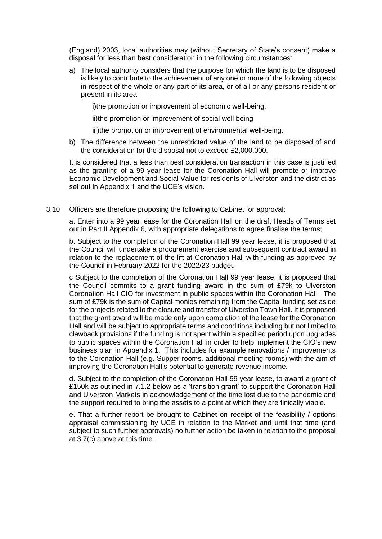(England) 2003, local authorities may (without Secretary of State's consent) make a disposal for less than best consideration in the following circumstances:

a) The local authority considers that the purpose for which the land is to be disposed is likely to contribute to the achievement of any one or more of the following objects in respect of the whole or any part of its area, or of all or any persons resident or present in its area.

i)the promotion or improvement of economic well-being.

ii)the promotion or improvement of social well being

iii)the promotion or improvement of environmental well-being.

b) The difference between the unrestricted value of the land to be disposed of and the consideration for the disposal not to exceed £2,000,000.

It is considered that a less than best consideration transaction in this case is justified as the granting of a 99 year lease for the Coronation Hall will promote or improve Economic Development and Social Value for residents of Ulverston and the district as set out in Appendix 1 and the UCE's vision.

3.10 Officers are therefore proposing the following to Cabinet for approval:

a. Enter into a 99 year lease for the Coronation Hall on the draft Heads of Terms set out in Part II Appendix 6, with appropriate delegations to agree finalise the terms;

b. Subject to the completion of the Coronation Hall 99 year lease, it is proposed that the Council will undertake a procurement exercise and subsequent contract award in relation to the replacement of the lift at Coronation Hall with funding as approved by the Council in February 2022 for the 2022/23 budget.

c Subject to the completion of the Coronation Hall 99 year lease, it is proposed that the Council commits to a grant funding award in the sum of £79k to Ulverston Coronation Hall CIO for investment in public spaces within the Coronation Hall. The sum of £79k is the sum of Capital monies remaining from the Capital funding set aside for the projects related to the closure and transfer of Ulverston Town Hall. It is proposed that the grant award will be made only upon completion of the lease for the Coronation Hall and will be subject to appropriate terms and conditions including but not limited to clawback provisions if the funding is not spent within a specified period upon upgrades to public spaces within the Coronation Hall in order to help implement the CIO's new business plan in Appendix 1. This includes for example renovations / improvements to the Coronation Hall (e.g. Supper rooms, additional meeting rooms) with the aim of improving the Coronation Hall's potential to generate revenue income.

d. Subject to the completion of the Coronation Hall 99 year lease, to award a grant of £150k as outlined in 7.1.2 below as a 'transition grant' to support the Coronation Hall and Ulverston Markets in acknowledgement of the time lost due to the pandemic and the support required to bring the assets to a point at which they are finically viable.

e. That a further report be brought to Cabinet on receipt of the feasibility / options appraisal commissioning by UCE in relation to the Market and until that time (and subject to such further approvals) no further action be taken in relation to the proposal at 3.7(c) above at this time.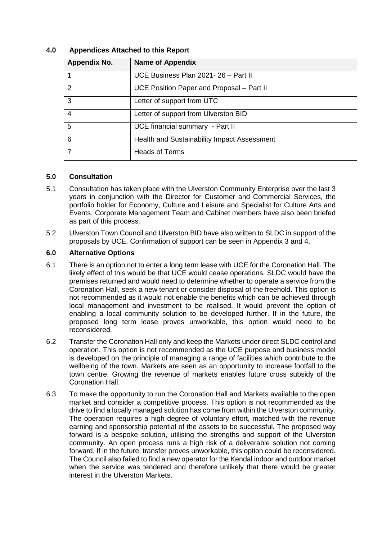| Appendix No. | <b>Name of Appendix</b>                     |
|--------------|---------------------------------------------|
|              | UCE Business Plan 2021-26 - Part II         |
| 2            | UCE Position Paper and Proposal – Part II   |
| 3            | Letter of support from UTC                  |
| 4            | Letter of support from Ulverston BID        |
| 5            | UCE financial summary - Part II             |
| 6            | Health and Sustainability Impact Assessment |
|              | <b>Heads of Terms</b>                       |

#### **4.0 Appendices Attached to this Report**

#### **5.0 Consultation**

- 5.1 Consultation has taken place with the Ulverston Community Enterprise over the last 3 years in conjunction with the Director for Customer and Commercial Services, the portfolio holder for Economy, Culture and Leisure and Specialist for Culture Arts and Events. Corporate Management Team and Cabinet members have also been briefed as part of this process.
- 5.2 Ulverston Town Council and Ulverston BID have also written to SLDC in support of the proposals by UCE. Confirmation of support can be seen in Appendix 3 and 4.

#### **6.0 Alternative Options**

- 6.1 There is an option not to enter a long term lease with UCE for the Coronation Hall. The likely effect of this would be that UCE would cease operations. SLDC would have the premises returned and would need to determine whether to operate a service from the Coronation Hall, seek a new tenant or consider disposal of the freehold. This option is not recommended as it would not enable the benefits which can be achieved through local management and investment to be realised. It would prevent the option of enabling a local community solution to be developed further. If in the future, the proposed long term lease proves unworkable, this option would need to be reconsidered.
- 6.2 Transfer the Coronation Hall only and keep the Markets under direct SLDC control and operation. This option is not recommended as the UCE purpose and business model is developed on the principle of managing a range of facilities which contribute to the wellbeing of the town. Markets are seen as an opportunity to increase footfall to the town centre. Growing the revenue of markets enables future cross subsidy of the Coronation Hall.
- 6.3 To make the opportunity to run the Coronation Hall and Markets available to the open market and consider a competitive process. This option is not recommended as the drive to find a locally managed solution has come from within the Ulverston community. The operation requires a high degree of voluntary effort, matched with the revenue earning and sponsorship potential of the assets to be successful. The proposed way forward is a bespoke solution, utilising the strengths and support of the Ulverston community. An open process runs a high risk of a deliverable solution not coming forward. If in the future, transfer proves unworkable, this option could be reconsidered. The Council also failed to find a new operator for the Kendal indoor and outdoor market when the service was tendered and therefore unlikely that there would be greater interest in the Ulverston Markets.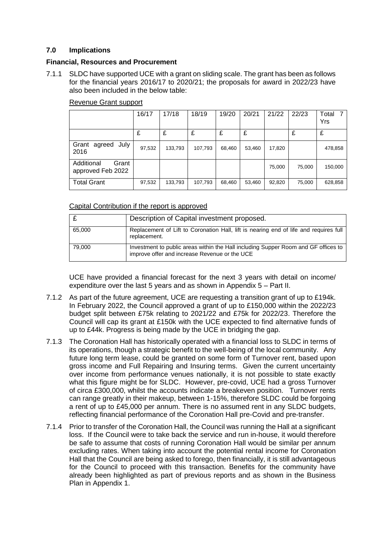#### **7.0 Implications**

#### **Financial, Resources and Procurement**

7.1.1 SLDC have supported UCE with a grant on sliding scale. The grant has been as follows for the financial years 2016/17 to 2020/21; the proposals for award in 2022/23 have also been included in the below table:

|                                          | 16/17  | 17/18   | 18/19   | 19/20  | 20/21  | 21/22  | 22/23  | Total 7<br>Yrs |
|------------------------------------------|--------|---------|---------|--------|--------|--------|--------|----------------|
|                                          | £      | £       | £       | £      | £      |        | £      | £              |
| agreed<br>July<br>Grant<br>2016          | 97,532 | 133,793 | 107,793 | 68,460 | 53,460 | 17,820 |        | 478,858        |
| Additional<br>Grant<br>approved Feb 2022 |        |         |         |        |        | 75,000 | 75,000 | 150,000        |
| <b>Total Grant</b>                       | 97,532 | 133,793 | 107,793 | 68,460 | 53,460 | 92,820 | 75,000 | 628,858        |

#### Revenue Grant support

#### Capital Contribution if the report is approved

|        | Description of Capital investment proposed.                                                                                         |
|--------|-------------------------------------------------------------------------------------------------------------------------------------|
| 65,000 | Replacement of Lift to Coronation Hall, lift is nearing end of life and requires full<br>replacement.                               |
| 79.000 | Investment to public areas within the Hall including Supper Room and GF offices to<br>improve offer and increase Revenue or the UCE |

UCE have provided a financial forecast for the next 3 years with detail on income/ expenditure over the last 5 years and as shown in Appendix 5 – Part II.

- 7.1.2 As part of the future agreement, UCE are requesting a transition grant of up to £194k. In February 2022, the Council approved a grant of up to £150,000 within the 2022/23 budget split between £75k relating to 2021/22 and £75k for 2022/23. Therefore the Council will cap its grant at £150k with the UCE expected to find alternative funds of up to £44k. Progress is being made by the UCE in bridging the gap.
- 7.1.3 The Coronation Hall has historically operated with a financial loss to SLDC in terms of its operations, though a strategic benefit to the well-being of the local community. Any future long term lease, could be granted on some form of Turnover rent, based upon gross income and Full Repairing and Insuring terms. Given the current uncertainty over income from performance venues nationally, it is not possible to state exactly what this figure might be for SLDC. However, pre-covid, UCE had a gross Turnover of circa £300,000, whilst the accounts indicate a breakeven position. Turnover rents can range greatly in their makeup, between 1-15%, therefore SLDC could be forgoing a rent of up to £45,000 per annum. There is no assumed rent in any SLDC budgets, reflecting financial performance of the Coronation Hall pre-Covid and pre-transfer.
- 7.1.4 Prior to transfer of the Coronation Hall, the Council was running the Hall at a significant loss. If the Council were to take back the service and run in-house, it would therefore be safe to assume that costs of running Coronation Hall would be similar per annum excluding rates. When taking into account the potential rental income for Coronation Hall that the Council are being asked to forego, then financially, it is still advantageous for the Council to proceed with this transaction. Benefits for the community have already been highlighted as part of previous reports and as shown in the Business Plan in Appendix 1.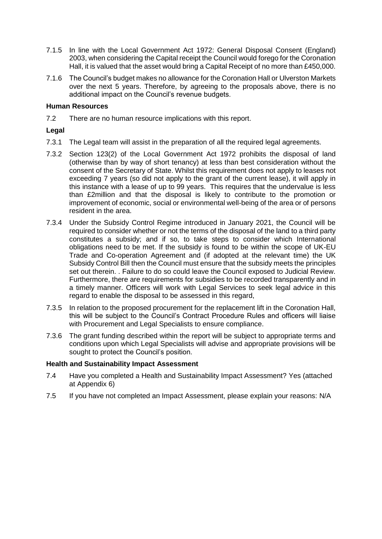- 7.1.5 In line with the Local Government Act 1972: General Disposal Consent (England) 2003, when considering the Capital receipt the Council would forego for the Coronation Hall, it is valued that the asset would bring a Capital Receipt of no more than £450,000.
- 7.1.6 The Council's budget makes no allowance for the Coronation Hall or Ulverston Markets over the next 5 years. Therefore, by agreeing to the proposals above, there is no additional impact on the Council's revenue budgets.

#### **Human Resources**

7.2 There are no human resource implications with this report.

#### **Legal**

- 7.3.1 The Legal team will assist in the preparation of all the required legal agreements.
- 7.3.2 Section 123(2) of the Local Government Act 1972 prohibits the disposal of land (otherwise than by way of short tenancy) at less than best consideration without the consent of the Secretary of State. Whilst this requirement does not apply to leases not exceeding 7 years (so did not apply to the grant of the current lease), it will apply in this instance with a lease of up to 99 years. This requires that the undervalue is less than £2million and that the disposal is likely to contribute to the promotion or improvement of economic, social or environmental well-being of the area or of persons resident in the area.
- 7.3.4 Under the Subsidy Control Regime introduced in January 2021, the Council will be required to consider whether or not the terms of the disposal of the land to a third party constitutes a subsidy; and if so, to take steps to consider which International obligations need to be met. If the subsidy is found to be within the scope of UK-EU Trade and Co-operation Agreement and (if adopted at the relevant time) the UK Subsidy Control Bill then the Council must ensure that the subsidy meets the principles set out therein. . Failure to do so could leave the Council exposed to Judicial Review. Furthermore, there are requirements for subsidies to be recorded transparently and in a timely manner. Officers will work with Legal Services to seek legal advice in this regard to enable the disposal to be assessed in this regard,
- 7.3.5 In relation to the proposed procurement for the replacement lift in the Coronation Hall, this will be subject to the Council's Contract Procedure Rules and officers will liaise with Procurement and Legal Specialists to ensure compliance.
- 7.3.6 The grant funding described within the report will be subject to appropriate terms and conditions upon which Legal Specialists will advise and appropriate provisions will be sought to protect the Council's position.

#### **Health and Sustainability Impact Assessment**

- 7.4 Have you completed a Health and Sustainability Impact Assessment? Yes (attached at Appendix 6)
- 7.5 If you have not completed an Impact Assessment, please explain your reasons: N/A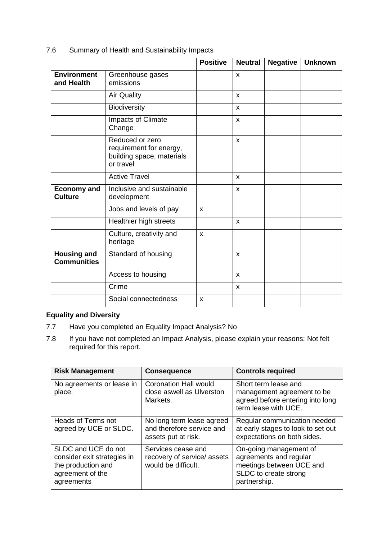| 7.6 |  | Summary of Health and Sustainability Impacts |  |
|-----|--|----------------------------------------------|--|
|     |  |                                              |  |

|                                          |                                                                                      | <b>Positive</b> | <b>Neutral</b>            | <b>Negative</b> | <b>Unknown</b> |
|------------------------------------------|--------------------------------------------------------------------------------------|-----------------|---------------------------|-----------------|----------------|
| <b>Environment</b><br>and Health         | Greenhouse gases<br>emissions                                                        |                 | X                         |                 |                |
|                                          | <b>Air Quality</b>                                                                   |                 | X                         |                 |                |
|                                          | Biodiversity                                                                         |                 | X                         |                 |                |
|                                          | <b>Impacts of Climate</b><br>Change                                                  |                 | X                         |                 |                |
|                                          | Reduced or zero<br>requirement for energy,<br>building space, materials<br>or travel |                 | $\mathsf{x}$              |                 |                |
|                                          | <b>Active Travel</b>                                                                 |                 | X                         |                 |                |
| <b>Economy and</b><br><b>Culture</b>     | Inclusive and sustainable<br>development                                             |                 | X                         |                 |                |
|                                          | Jobs and levels of pay                                                               | X               |                           |                 |                |
|                                          | Healthier high streets                                                               |                 | X                         |                 |                |
|                                          | Culture, creativity and<br>heritage                                                  | $\mathbf{x}$    |                           |                 |                |
| <b>Housing and</b><br><b>Communities</b> | Standard of housing                                                                  |                 | $\boldsymbol{\mathsf{x}}$ |                 |                |
|                                          | Access to housing                                                                    |                 | X                         |                 |                |
|                                          | Crime                                                                                |                 | X                         |                 |                |
|                                          | Social connectedness                                                                 | X               |                           |                 |                |

## **Equality and Diversity**

- 7.7 Have you completed an Equality Impact Analysis? No
- 7.8 If you have not completed an Impact Analysis, please explain your reasons: Not felt required for this report.

| <b>Risk Management</b>                                                                                     | <b>Consequence</b>                                                            | <b>Controls required</b>                                                                                              |
|------------------------------------------------------------------------------------------------------------|-------------------------------------------------------------------------------|-----------------------------------------------------------------------------------------------------------------------|
| No agreements or lease in<br>place.                                                                        | <b>Coronation Hall would</b><br>close aswell as Ulverston<br>Markets.         | Short term lease and<br>management agreement to be<br>agreed before entering into long<br>term lease with UCE.        |
| <b>Heads of Terms not</b><br>agreed by UCE or SLDC.                                                        | No long term lease agreed<br>and therefore service and<br>assets put at risk. | Regular communication needed<br>at early stages to look to set out<br>expectations on both sides.                     |
| SLDC and UCE do not<br>consider exit strategies in<br>the production and<br>agreement of the<br>agreements | Services cease and<br>recovery of service/ assets<br>would be difficult.      | On-going management of<br>agreements and regular<br>meetings between UCE and<br>SLDC to create strong<br>partnership. |